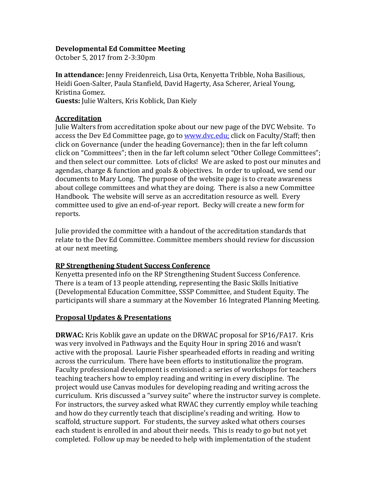### **Developmental Ed Committee Meeting**

October 5, 2017 from 2-3:30pm

**In attendance:** Jenny Freidenreich, Lisa Orta, Kenyetta Tribble, Noha Basilious, Heidi Goen-Salter, Paula Stanfield, David Hagerty, Asa Scherer, Arieal Young, Kristina Gomez.

**Guests:** Julie Walters, Kris Koblick, Dan Kiely

### **Accreditation**

Julie Walters from accreditation spoke about our new page of the DVC Website. To access the Dev Ed Committee page, go to [www.dvc.edu;](http://www.dvc.edu/) click on Faculty/Staff; then click on Governance (under the heading Governance); then in the far left column click on "Committees"; then in the far left column select "Other College Committees"; and then select our committee. Lots of clicks! We are asked to post our minutes and agendas, charge & function and goals & objectives. In order to upload, we send our documents to Mary Long. The purpose of the website page is to create awareness about college committees and what they are doing. There is also a new Committee Handbook. The website will serve as an accreditation resource as well. Every committee used to give an end-of-year report. Becky will create a new form for reports.

Julie provided the committee with a handout of the accreditation standards that relate to the Dev Ed Committee. Committee members should review for discussion at our next meeting.

### **RP Strengthening Student Success Conference**

Kenyetta presented info on the RP Strengthening Student Success Conference. There is a team of 13 people attending, representing the Basic Skills Initiative (Developmental Education Committee, SSSP Committee, and Student Equity. The participants will share a summary at the November 16 Integrated Planning Meeting.

### **Proposal Updates & Presentations**

**DRWAC:** Kris Koblik gave an update on the DRWAC proposal for SP16/FA17. Kris was very involved in Pathways and the Equity Hour in spring 2016 and wasn't active with the proposal. Laurie Fisher spearheaded efforts in reading and writing across the curriculum. There have been efforts to institutionalize the program. Faculty professional development is envisioned: a series of workshops for teachers teaching teachers how to employ reading and writing in every discipline. The project would use Canvas modules for developing reading and writing across the curriculum. Kris discussed a "survey suite" where the instructor survey is complete. For instructors, the survey asked what RWAC they currently employ while teaching and how do they currently teach that discipline's reading and writing. How to scaffold, structure support. For students, the survey asked what others courses each student is enrolled in and about their needs. This is ready to go but not yet completed. Follow up may be needed to help with implementation of the student